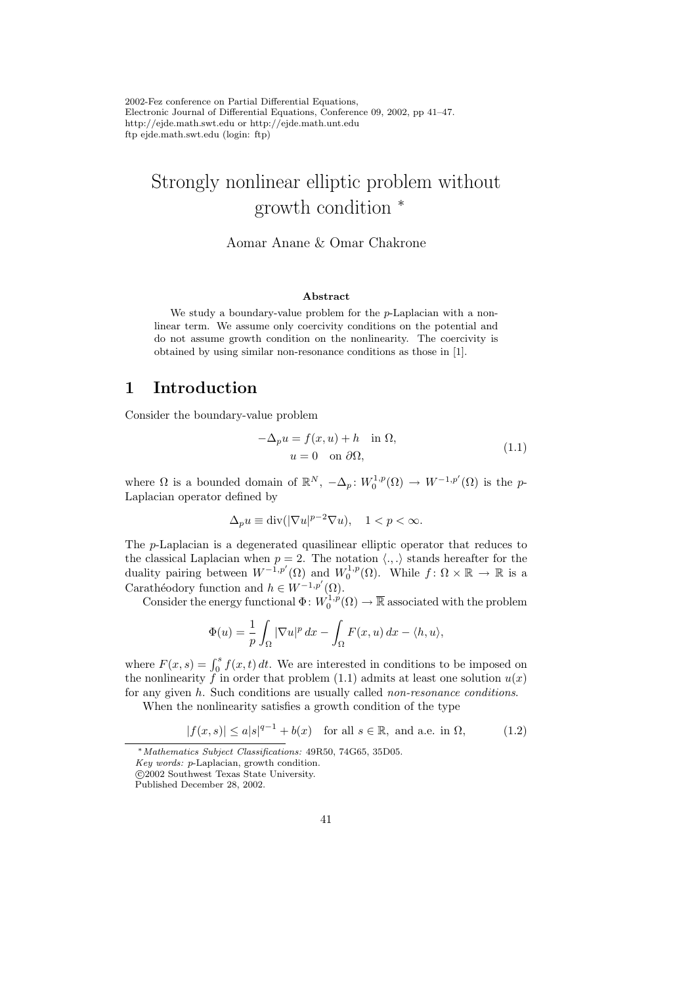2002-Fez conference on Partial Differential Equations, Electronic Journal of Differential Equations, Conference 09, 2002, pp 41–47. http://ejde.math.swt.edu or http://ejde.math.unt.edu ftp ejde.math.swt.edu (login: ftp)

# Strongly nonlinear elliptic problem without growth condition <sup>∗</sup>

Aomar Anane & Omar Chakrone

#### Abstract

We study a boundary-value problem for the p-Laplacian with a nonlinear term. We assume only coercivity conditions on the potential and do not assume growth condition on the nonlinearity. The coercivity is obtained by using similar non-resonance conditions as those in [1].

### 1 Introduction

Consider the boundary-value problem

$$
-\Delta_p u = f(x, u) + h \quad \text{in } \Omega,
$$
  
 
$$
u = 0 \quad \text{on } \partial\Omega,
$$
 (1.1)

where  $\Omega$  is a bounded domain of  $\mathbb{R}^N$ ,  $-\Delta_p$ :  $W_0^{1,p}(\Omega) \to W^{-1,p'}(\Omega)$  is the p-Laplacian operator defined by

$$
\Delta_p u \equiv \text{div}(|\nabla u|^{p-2} \nabla u), \quad 1 < p < \infty.
$$

The p-Laplacian is a degenerated quasilinear elliptic operator that reduces to the classical Laplacian when  $p = 2$ . The notation  $\langle ., . \rangle$  stands hereafter for the duality pairing between  $W^{-1,p'}(\Omega)$  and  $W_0^{1,p}(\Omega)$ . While  $f: \Omega \times \mathbb{R} \to \mathbb{R}$  is a Carathéodory function and  $h \in W^{-1,p'}(\Omega)$ .

Consider the energy functional  $\Phi: W_0^{1,p}(\Omega) \to \overline{\mathbb{R}}$  associated with the problem

$$
\Phi(u) = \frac{1}{p} \int_{\Omega} |\nabla u|^p dx - \int_{\Omega} F(x, u) dx - \langle h, u \rangle,
$$

where  $F(x, s) = \int_0^s f(x, t) dt$ . We are interested in conditions to be imposed on the nonlinearity f in order that problem (1.1) admits at least one solution  $u(x)$ for any given h. Such conditions are usually called non-resonance conditions.

When the nonlinearity satisfies a growth condition of the type

$$
|f(x,s)| \le a|s|^{q-1} + b(x) \quad \text{for all } s \in \mathbb{R}, \text{ and a.e. in } \Omega,
$$
 (1.2)

<sup>∗</sup>Mathematics Subject Classifications: 49R50, 74G65, 35D05.

Key words: p-Laplacian, growth condition.

c 2002 Southwest Texas State University.

Published December 28, 2002.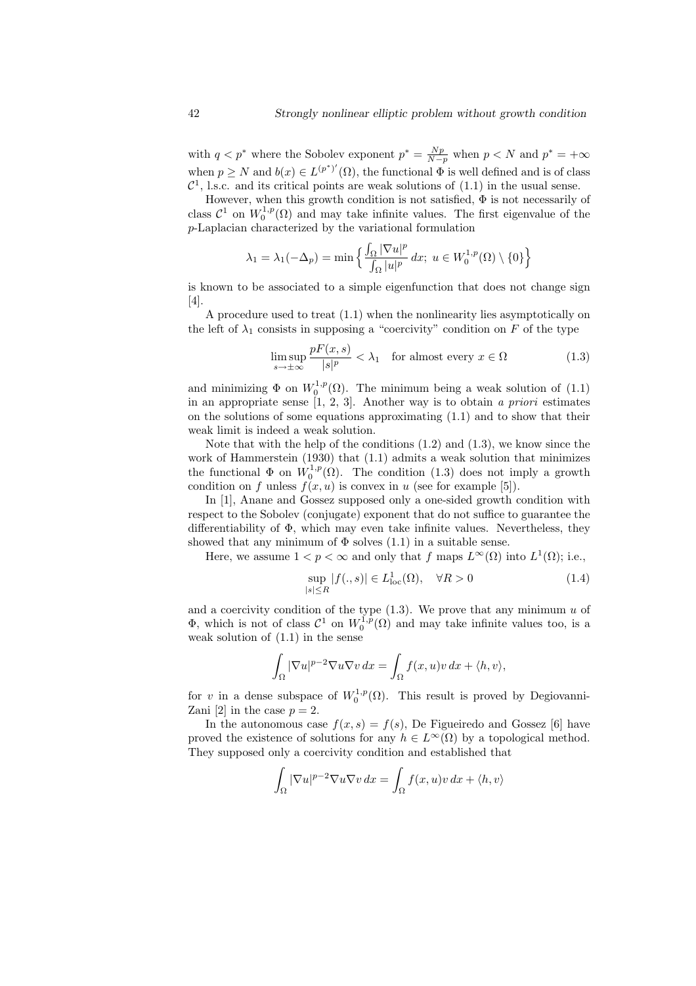with  $q < p^*$  where the Sobolev exponent  $p^* = \frac{Np}{N-p}$  when  $p < N$  and  $p^* = +\infty$ when  $p \geq N$  and  $b(x) \in L^{(p^*)'}(\Omega)$ , the functional  $\Phi$  is well defined and is of class  $\mathcal{C}^1$ , l.s.c. and its critical points are weak solutions of  $(1.1)$  in the usual sense.

However, when this growth condition is not satisfied,  $\Phi$  is not necessarily of class  $C^1$  on  $W_0^{1,p}(\Omega)$  and may take infinite values. The first eigenvalue of the p-Laplacian characterized by the variational formulation

$$
\lambda_1 = \lambda_1(-\Delta_p) = \min\left\{ \frac{\int_{\Omega} |\nabla u|^p}{\int_{\Omega} |u|^p} dx \middle| u \in W_0^{1,p}(\Omega) \setminus \{0\} \right\}
$$

is known to be associated to a simple eigenfunction that does not change sign [4].

A procedure used to treat (1.1) when the nonlinearity lies asymptotically on the left of  $\lambda_1$  consists in supposing a "coercivity" condition on F of the type

$$
\limsup_{s \to \pm \infty} \frac{pF(x, s)}{|s|^p} < \lambda_1 \quad \text{for almost every } x \in \Omega \tag{1.3}
$$

and minimizing  $\Phi$  on  $W_0^{1,p}(\Omega)$ . The minimum being a weak solution of  $(1.1)$ in an appropriate sense  $[1, 2, 3]$ . Another way is to obtain a priori estimates on the solutions of some equations approximating (1.1) and to show that their weak limit is indeed a weak solution.

Note that with the help of the conditions  $(1.2)$  and  $(1.3)$ , we know since the work of Hammerstein (1930) that (1.1) admits a weak solution that minimizes the functional  $\Phi$  on  $W_0^{1,p}(\Omega)$ . The condition (1.3) does not imply a growth condition on f unless  $f(x, u)$  is convex in u (see for example [5]).

In [1], Anane and Gossez supposed only a one-sided growth condition with respect to the Sobolev (conjugate) exponent that do not suffice to guarantee the differentiability of  $\Phi$ , which may even take infinite values. Nevertheless, they showed that any minimum of  $\Phi$  solves (1.1) in a suitable sense.

Here, we assume  $1 < p < \infty$  and only that f maps  $L^{\infty}(\Omega)$  into  $L^{1}(\Omega)$ ; i.e.,

$$
\sup_{|s| \le R} |f(.,s)| \in L^1_{\text{loc}}(\Omega), \quad \forall R > 0 \tag{1.4}
$$

and a coercivity condition of the type  $(1.3)$ . We prove that any minimum u of  $\Phi$ , which is not of class  $\mathcal{C}^1$  on  $W_0^{1,p}(\Omega)$  and may take infinite values too, is a weak solution of (1.1) in the sense

$$
\int_{\Omega} |\nabla u|^{p-2} \nabla u \nabla v \, dx = \int_{\Omega} f(x, u) v \, dx + \langle h, v \rangle,
$$

for v in a dense subspace of  $W_0^{1,p}(\Omega)$ . This result is proved by Degiovanni-Zani [2] in the case  $p = 2$ .

In the autonomous case  $f(x, s) = f(s)$ , De Figueiredo and Gossez [6] have proved the existence of solutions for any  $h \in L^{\infty}(\Omega)$  by a topological method. They supposed only a coercivity condition and established that

$$
\int_{\Omega} |\nabla u|^{p-2} \nabla u \nabla v \, dx = \int_{\Omega} f(x, u) v \, dx + \langle h, v \rangle
$$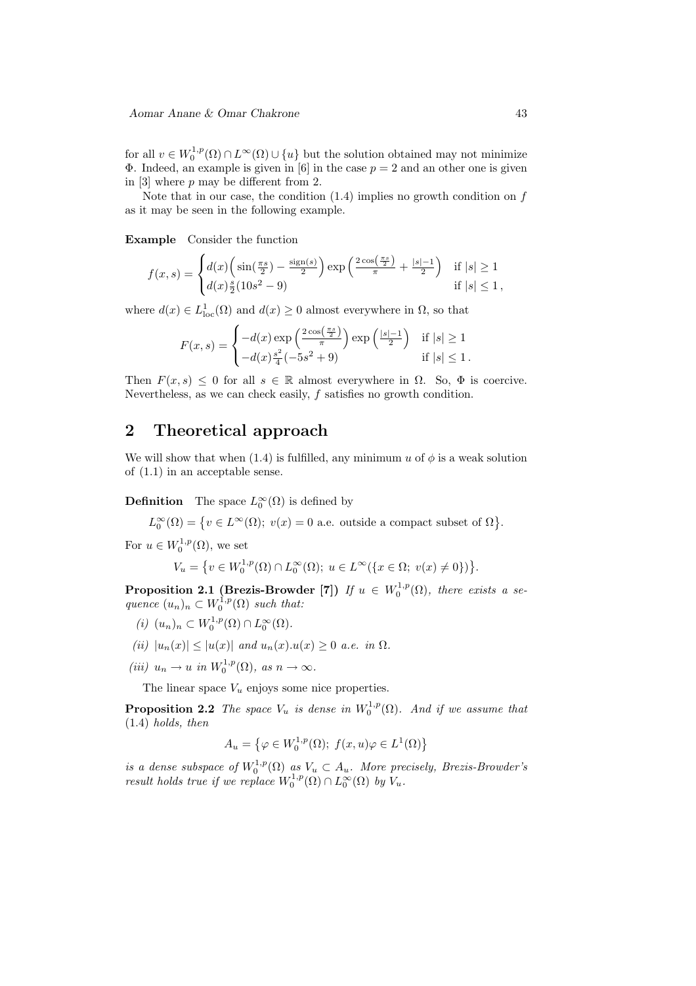for all  $v \in W_0^{1,p}(\Omega) \cap L^\infty(\Omega) \cup \{u\}$  but the solution obtained may not minimize  $\Phi$ . Indeed, an example is given in [6] in the case  $p = 2$  and an other one is given in [3] where  $p$  may be different from 2.

Note that in our case, the condition  $(1.4)$  implies no growth condition on f as it may be seen in the following example.

Example Consider the function

$$
f(x,s) = \begin{cases} d(x) \left( \sin(\frac{\pi s}{2}) - \frac{\text{sign}(s)}{2} \right) \exp\left( \frac{2 \cos(\frac{\pi s}{2})}{\pi} + \frac{|s| - 1}{2} \right) & \text{if } |s| \ge 1 \\ d(x) \frac{s}{2} (10s^2 - 9) & \text{if } |s| \le 1 \end{cases}
$$

where  $d(x) \in L^1_{loc}(\Omega)$  and  $d(x) \geq 0$  almost everywhere in  $\Omega$ , so that

$$
F(x,s) = \begin{cases} -d(x) \exp\left(\frac{2\cos(\frac{\pi s}{2})}{\pi}\right) \exp\left(\frac{|s|-1}{2}\right) & \text{if } |s| \ge 1\\ -d(x)\frac{s^2}{4}(-5s^2+9) & \text{if } |s| \le 1. \end{cases}
$$

Then  $F(x, s) \leq 0$  for all  $s \in \mathbb{R}$  almost everywhere in  $\Omega$ . So,  $\Phi$  is coercive. Nevertheless, as we can check easily, f satisfies no growth condition.

### 2 Theoretical approach

We will show that when (1.4) is fulfilled, any minimum u of  $\phi$  is a weak solution of (1.1) in an acceptable sense.

**Definition** The space  $L_0^{\infty}(\Omega)$  is defined by

 $L_0^{\infty}(\Omega) = \{v \in L^{\infty}(\Omega); v(x) = 0$  a.e. outside a compact subset of  $\Omega\}.$ 

For  $u \in W_0^{1,p}(\Omega)$ , we set

$$
V_u = \{ v \in W_0^{1,p}(\Omega) \cap L_0^{\infty}(\Omega); \ u \in L^{\infty}(\{ x \in \Omega; \ v(x) \neq 0 \}) \}.
$$

**Proposition 2.1 (Brezis-Browder [7])** If  $u \in W_0^{1,p}(\Omega)$ , there exists a sequence  $(u_n)_n \subset W_0^{1,p}(\Omega)$  such that:

- (i)  $(u_n)_n \subset W_0^{1,p}(\Omega) \cap L_0^{\infty}(\Omega)$ .
- (ii)  $|u_n(x)| \le |u(x)|$  and  $u_n(x) \cdot u(x) \ge 0$  a.e. in  $\Omega$ .
- (iii)  $u_n \to u$  in  $W_0^{1,p}(\Omega)$ , as  $n \to \infty$ .

The linear space  $V_u$  enjoys some nice properties.

**Proposition 2.2** The space  $V_u$  is dense in  $W_0^{1,p}(\Omega)$ . And if we assume that (1.4) holds, then

$$
A_u = \left\{ \varphi \in W_0^{1,p}(\Omega); \ f(x, u)\varphi \in L^1(\Omega) \right\}
$$

is a dense subspace of  $W_0^{1,p}(\Omega)$  as  $V_u \subset A_u$ . More precisely, Brezis-Browder's result holds true if we replace  $W_0^{1,p}(\Omega) \cap L_0^{\infty}(\Omega)$  by  $V_u$ .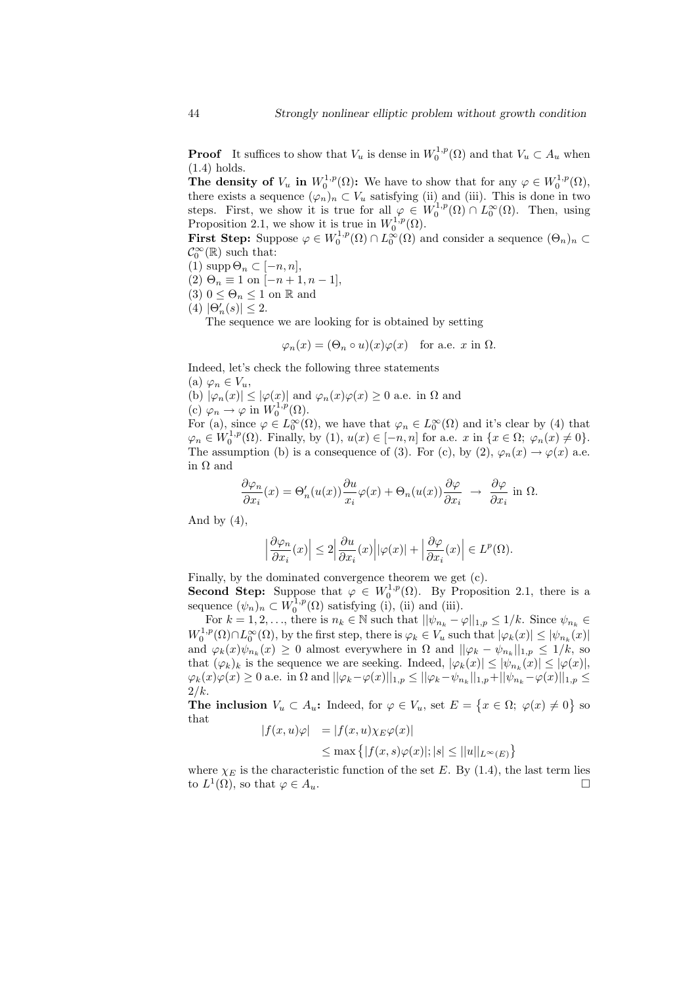**Proof** It suffices to show that  $V_u$  is dense in  $W_0^{1,p}(\Omega)$  and that  $V_u \subset A_u$  when (1.4) holds.

The density of  $V_u$  in  $W_0^{1,p}(\Omega)$ : We have to show that for any  $\varphi \in W_0^{1,p}(\Omega)$ , there exists a sequence  $(\varphi_n)_n \subset V_u$  satisfying (ii) and (iii). This is done in two steps. First, we show it is true for all  $\varphi \in W_0^{1,p}(\Omega) \cap L_0^{\infty}(\Omega)$ . Then, using Proposition 2.1, we show it is true in  $W_0^{1,p}(\Omega)$ .

**First Step:** Suppose  $\varphi \in W_0^{1,p}(\Omega) \cap L_0^{\infty}(\Omega)$  and consider a sequence  $(\Theta_n)_n \subset$  $\mathcal{C}_0^{\infty}(\mathbb{R})$  such that:

(1) supp 
$$
\Theta_n \subset [-n, n],
$$

(2)  $\Theta_n \equiv 1$  on  $[-n+1, n-1]$ ,

(3)  $0 \leq \Theta_n \leq 1$  on R and

$$
(4) |\Theta_n'(s)| \le 2.
$$

The sequence we are looking for is obtained by setting

 $\varphi_n(x) = (\Theta_n \circ u)(x)\varphi(x)$  for a.e. x in  $\Omega$ .

Indeed, let's check the following three statements

(a)  $\varphi_n \in V_u$ ,

(b)  $|\varphi_n(x)| \leq |\varphi(x)|$  and  $\varphi_n(x)\varphi(x) \geq 0$  a.e. in  $\Omega$  and (c)  $\varphi_n \to \varphi$  in  $W_0^{1,p}(\Omega)$ .

For (a), since  $\varphi \in L_0^{\infty}(\Omega)$ , we have that  $\varphi_n \in L_0^{\infty}(\Omega)$  and it's clear by (4) that  $\varphi_n \in W_0^{1,p}(\Omega)$ . Finally, by (1),  $u(x) \in [-n, n]$  for a.e. x in  $\{x \in \Omega; \varphi_n(x) \neq 0\}$ . The assumption (b) is a consequence of (3). For (c), by (2),  $\varphi_n(x) \to \varphi(x)$  a.e. in  $\Omega$  and

$$
\frac{\partial \varphi_n}{\partial x_i}(x) = \Theta'_n(u(x)) \frac{\partial u}{\partial x_i} \varphi(x) + \Theta_n(u(x)) \frac{\partial \varphi}{\partial x_i} \rightarrow \frac{\partial \varphi}{\partial x_i}
$$
in  $\Omega$ .

And by  $(4)$ ,

$$
\left|\frac{\partial\varphi_n}{\partial x_i}(x)\right|\leq 2\left|\frac{\partial u}{\partial x_i}(x)\right||\varphi(x)|+\left|\frac{\partial\varphi}{\partial x_i}(x)\right|\in L^p(\Omega).
$$

Finally, by the dominated convergence theorem we get (c).

**Second Step:** Suppose that  $\varphi \in W_0^{1,p}(\Omega)$ . By Proposition 2.1, there is a sequence  $(\psi_n)_n \subset W_0^{1,p}(\Omega)$  satisfying (i), (ii) and (iii).

For  $k = 1, 2, \ldots$ , there is  $n_k \in \mathbb{N}$  such that  $||\psi_{n_k} - \varphi||_{1,p} \le 1/k$ . Since  $\psi_{n_k} \in$  $W_0^{1,p}(\Omega) \cap L_0^{\infty}(\Omega)$ , by the first step, there is  $\varphi_k \in V_u$  such that  $|\varphi_k(x)| \leq |\psi_{n_k}(x)|$ and  $\varphi_k(x)\psi_{n_k}(x) \geq 0$  almost everywhere in  $\Omega$  and  $||\varphi_k - \psi_{n_k}||_{1,p} \leq 1/k$ , so that  $(\varphi_k)_k$  is the sequence we are seeking. Indeed,  $|\varphi_k(x)| \leq |\psi_{n_k}(x)| \leq |\varphi(x)|$ ,  $\varphi_k(x)\varphi(x) \geq 0$  a.e. in  $\Omega$  and  $||\varphi_k - \varphi(x)||_{1,p} \leq ||\varphi_k - \psi_{n_k}||_{1,p} + ||\psi_{n_k} - \varphi(x)||_{1,p} \leq$  $2/k$ .

The inclusion  $V_u \subset A_u$ : Indeed, for  $\varphi \in V_u$ , set  $E = \{x \in \Omega; \varphi(x) \neq 0\}$  so that

$$
|f(x, u)\varphi| = |f(x, u)\chi_E\varphi(x)|
$$
  

$$
\leq \max\{|f(x, s)\varphi(x)|; |s| \leq ||u||_{L^{\infty}(E)}\}
$$

where  $\chi_E$  is the characteristic function of the set E. By (1.4), the last term lies to  $L^1(\Omega)$ , so that  $\varphi \in A_u$ .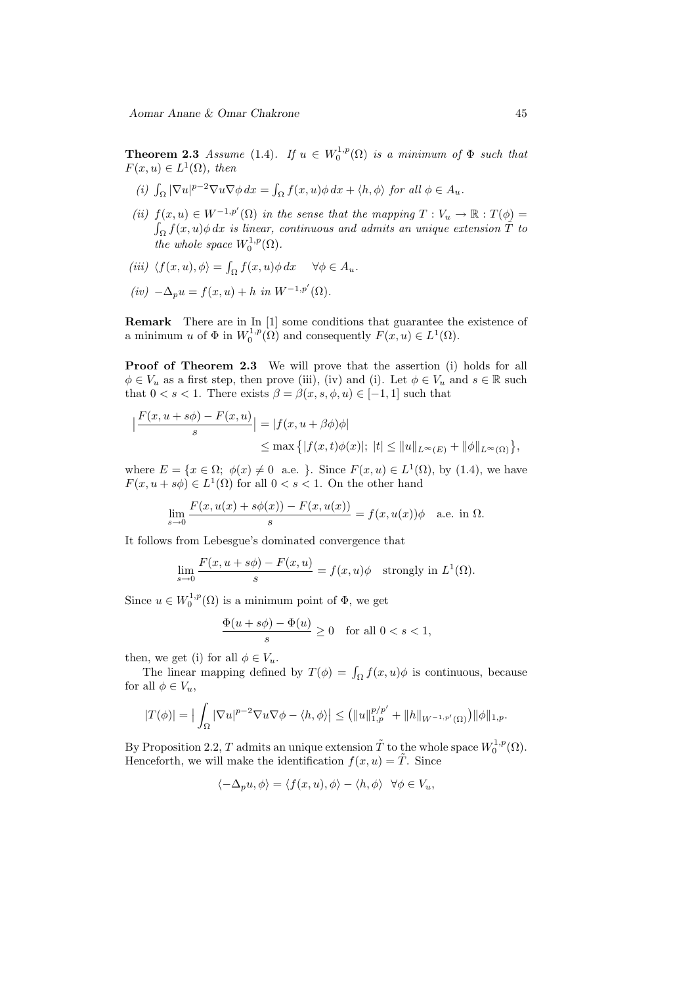**Theorem 2.3** Assume (1.4). If  $u \in W_0^{1,p}(\Omega)$  is a minimum of  $\Phi$  such that  $F(x, u) \in L^1(\Omega)$ , then

- (i)  $\int_{\Omega} |\nabla u|^{p-2} \nabla u \nabla \phi \, dx = \int_{\Omega} f(x, u) \phi \, dx + \langle h, \phi \rangle$  for all  $\phi \in A_u$ .
- (ii)  $f(x, u) \in W^{-1,p'}(\Omega)$  in the sense that the mapping  $T: V_u \to \mathbb{R}: T(\phi) =$  $\int_\Omega f(x,u) \phi \, dx$  is linear, continuous and admits an unique extension  $\tilde T$  to the whole space  $W_0^{1,p}(\Omega)$ .
- (iii)  $\langle f(x, u), \phi \rangle = \int_{\Omega} f(x, u) \phi \, dx \quad \forall \phi \in A_u.$

$$
(iv)
$$
  $-\Delta_p u = f(x, u) + h$  in  $W^{-1,p'}(\Omega)$ .

**Remark** There are in In [1] some conditions that guarantee the existence of a minimum u of  $\Phi$  in  $W_0^{1,p}(\Omega)$  and consequently  $F(x, u) \in L^1(\Omega)$ .

Proof of Theorem 2.3 We will prove that the assertion (i) holds for all  $\phi \in V_u$  as a first step, then prove (iii), (iv) and (i). Let  $\phi \in V_u$  and  $s \in \mathbb{R}$  such that  $0 < s < 1$ . There exists  $\beta = \beta(x, s, \phi, u) \in [-1, 1]$  such that

$$
\left|\frac{F(x, u + s\phi) - F(x, u)}{s}\right| = |f(x, u + \beta\phi)\phi|
$$
  

$$
\leq \max\left\{|f(x, t)\phi(x)|; |t| \leq ||u||_{L^{\infty}(E)} + ||\phi||_{L^{\infty}(\Omega)}\right\},\
$$

where  $E = \{x \in \Omega; \phi(x) \neq 0 \text{ a.e. } \}$ . Since  $F(x, u) \in L^1(\Omega)$ , by (1.4), we have  $F(x, u + s\phi) \in L^1(\Omega)$  for all  $0 < s < 1$ . On the other hand

$$
\lim_{s \to 0} \frac{F(x, u(x) + s\phi(x)) - F(x, u(x))}{s} = f(x, u(x))\phi \quad \text{a.e. in } \Omega.
$$

It follows from Lebesgue's dominated convergence that

$$
\lim_{s \to 0} \frac{F(x, u + s\phi) - F(x, u)}{s} = f(x, u)\phi \quad \text{strongly in } L^1(\Omega).
$$

Since  $u \in W_0^{1,p}(\Omega)$  is a minimum point of  $\Phi$ , we get

$$
\frac{\Phi(u+s\phi) - \Phi(u)}{s} \ge 0 \quad \text{for all } 0 < s < 1,
$$

then, we get (i) for all  $\phi \in V_u$ .

The linear mapping defined by  $T(\phi) = \int_{\Omega} f(x, u)\phi$  is continuous, because for all  $\phi \in V_u$ ,

$$
|T(\phi)| = \big|\int_{\Omega} |\nabla u|^{p-2} \nabla u \nabla \phi - \langle h, \phi \rangle\big| \le \big(||u||_{1,p}^{p/p'} + ||h||_{W^{-1,p'}(\Omega)}\big) ||\phi||_{1,p}.
$$

By Proposition 2.2, T admits an unique extension  $\tilde{T}$  to the whole space  $W_0^{1,p}(\Omega)$ . Henceforth, we will make the identification  $f(x, u) = \tilde{T}$ . Since

$$
\langle -\Delta_p u, \phi \rangle = \langle f(x, u), \phi \rangle - \langle h, \phi \rangle \quad \forall \phi \in V_u,
$$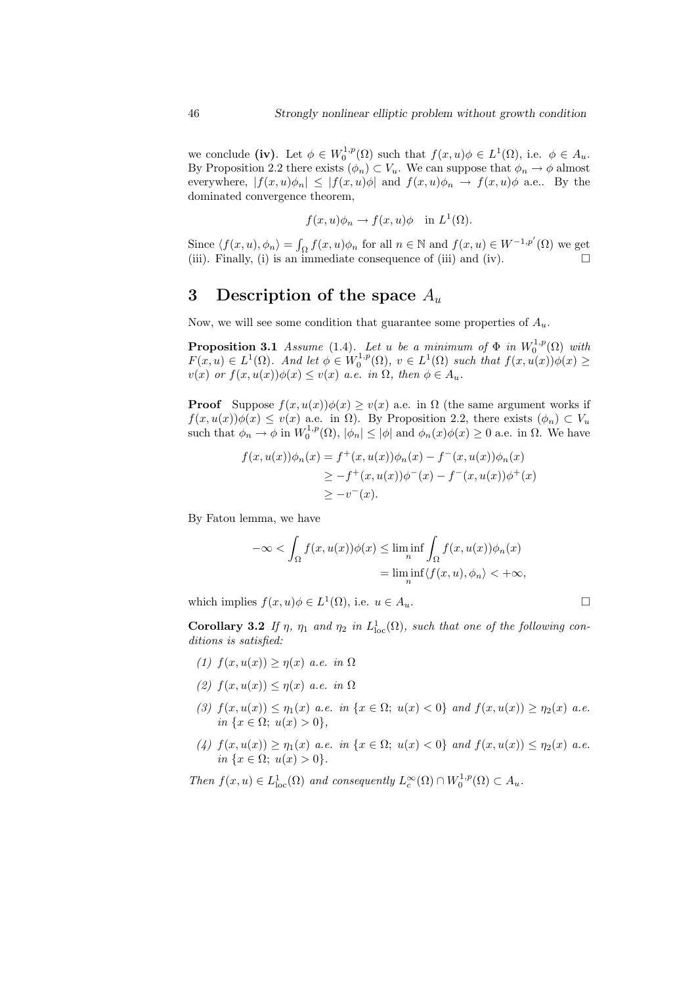we conclude (iv). Let  $\phi \in W_0^{1,p}(\Omega)$  such that  $f(x, u)\phi \in L^1(\Omega)$ , i.e.  $\phi \in A_u$ . By Proposition 2.2 there exists  $(\phi_n) \subset V_u$ . We can suppose that  $\phi_n \to \phi$  almost everywhere,  $|f(x, u)\phi_n| \leq |f(x, u)\phi|$  and  $f(x, u)\phi_n \to f(x, u)\phi$  a.e.. By the dominated convergence theorem,

$$
f(x, u)\phi_n \to f(x, u)\phi
$$
 in  $L^1(\Omega)$ .

Since  $\langle f(x, u), \phi_n \rangle = \int_{\Omega} f(x, u) \phi_n$  for all  $n \in \mathbb{N}$  and  $f(x, u) \in W^{-1,p'}(\Omega)$  we get (iii). Finally, (i) is an immediate consequence of (iii) and (iv).  $\Box$ 

## 3 Description of the space  $A_u$

Now, we will see some condition that guarantee some properties of  $A_u$ .

**Proposition 3.1** Assume (1.4). Let u be a minimum of  $\Phi$  in  $W_0^{1,p}(\Omega)$  with  $F(x, u) \in L^1(\Omega)$ . And let  $\phi \in W_0^{1,p}(\Omega)$ ,  $v \in L^1(\Omega)$  such that  $f(x, u(x))\phi(x) \ge$  $v(x)$  or  $f(x, u(x))\phi(x) \leq v(x)$  a.e. in  $\Omega$ , then  $\phi \in A_u$ .

**Proof** Suppose  $f(x, u(x))\phi(x) \ge v(x)$  a.e. in  $\Omega$  (the same argument works if  $f(x, u(x))\phi(x) \le v(x)$  a.e. in  $\Omega$ ). By Proposition 2.2, there exists  $(\phi_n) \subset V_u$ such that  $\phi_n \to \phi$  in  $W_0^{1,p}(\Omega)$ ,  $|\phi_n| \leq |\phi|$  and  $\phi_n(x)\phi(x) \geq 0$  a.e. in  $\Omega$ . We have

$$
f(x, u(x))\phi_n(x) = f^+(x, u(x))\phi_n(x) - f^-(x, u(x))\phi_n(x)
$$
  
\n
$$
\geq -f^+(x, u(x))\phi^-(x) - f^-(x, u(x))\phi^+(x)
$$
  
\n
$$
\geq -v^-(x).
$$

By Fatou lemma, we have

$$
-\infty < \int_{\Omega} f(x, u(x))\phi(x) \le \liminf_{n} \int_{\Omega} f(x, u(x))\phi_n(x)
$$
  
= 
$$
\liminf_{n} \langle f(x, u), \phi_n \rangle < +\infty,
$$

which implies  $f(x, u)\phi \in L^1(\Omega)$ , i.e.  $u \in A_u$ .

Corollary 3.2 If  $\eta$ ,  $\eta_1$  and  $\eta_2$  in  $L^1_{loc}(\Omega)$ , such that one of the following conditions is satisfied:

- (1)  $f(x, u(x)) \geq \eta(x)$  a.e. in  $\Omega$
- (2)  $f(x, u(x)) \leq \eta(x)$  a.e. in  $\Omega$
- (3)  $f(x, u(x)) \leq \eta_1(x)$  a.e. in  $\{x \in \Omega; u(x) < 0\}$  and  $f(x, u(x)) \geq \eta_2(x)$  a.e. in  $\{x \in \Omega; u(x) > 0\},\$
- (4)  $f(x, u(x)) \geq \eta_1(x)$  a.e. in  $\{x \in \Omega; u(x) < 0\}$  and  $f(x, u(x)) \leq \eta_2(x)$  a.e. in  $\{x \in \Omega; u(x) > 0\}.$

Then  $f(x, u) \in L^1_{loc}(\Omega)$  and consequently  $L_c^{\infty}(\Omega) \cap W_0^{1,p}(\Omega) \subset A_u$ .